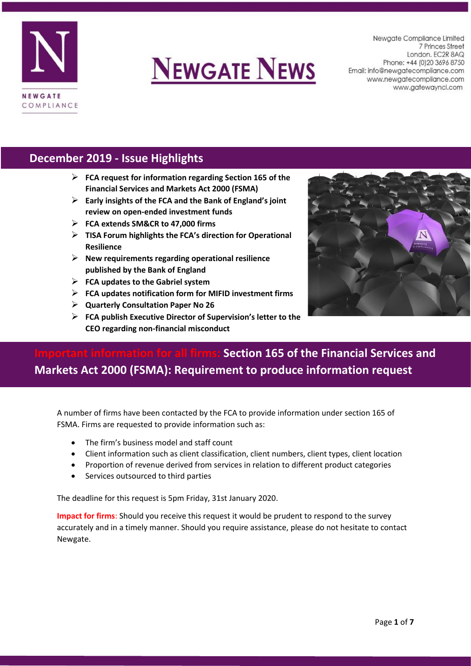



Newgate Compliance Limited 7 Princes Street London. EC2R 8AQ Phone: +44 (0) 20 3696 8750 Email: info@newgatecompliance.com www.newgatecompliance.com www.gatewayncl.com

### **December 2019 - Issue Highlights**

- ➢ **FCA request for information regarding Section 165 of the Financial Services and Markets Act 2000 (FSMA)**
- ➢ **Early insights of the FCA and the Bank of England's joint review on open-ended investment funds**
- ➢ **FCA extends SM&CR to 47,000 firms**
- ➢ **TISA Forum highlights the FCA's direction for Operational Resilience**
- ➢ **New requirements regarding operational resilience published by the Bank of England**
- ➢ **FCA updates to the Gabriel system**
- ➢ **FCA updates notification form for MIFID investment firms**
- ➢ **Quarterly Consultation Paper No 26**
- ➢ **FCA publish Executive Director of Supervision's letter to the CEO regarding non-financial misconduct**



## **Section 165 of the Financial Services and Markets Act 2000 (FSMA): Requirement to produce information request**

A number of firms have been contacted by the FCA to provide information under section 165 of FSMA. Firms are requested to provide information such as:

- The firm's business model and staff count
- Client information such as client classification, client numbers, client types, client location
- Proportion of revenue derived from services in relation to different product categories
- Services outsourced to third parties

The deadline for this request is 5pm Friday, 31st January 2020.

**Impact for firms**: Should you receive this request it would be prudent to respond to the survey accurately and in a timely manner. Should you require assistance, please do not hesitate to contact Newgate.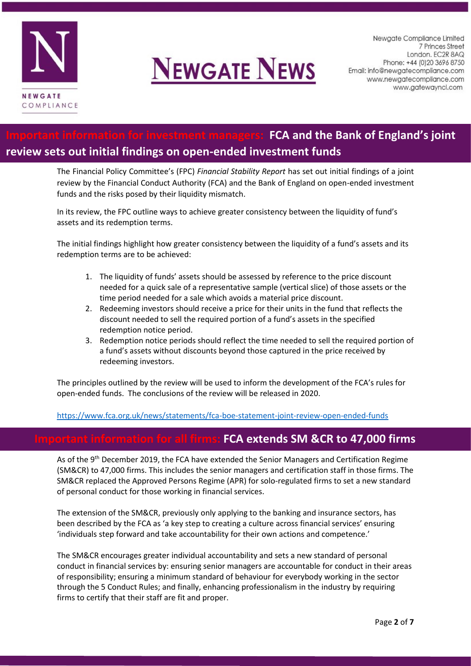

# **NEWGATE NEWS**

Newgate Compliance Limited 7 Princes Street London. EC2R 8AQ Phone: +44 (0) 20 3696 8750 Email: info@newgatecompliance.com www.newgatecompliance.com www.gatewayncl.com

## **IFCA and the Bank of England's joint review sets out initial findings on open-ended investment funds**

The Financial Policy Committee's (FPC) *Financial Stability Report* has set out initial findings of a joint review by the Financial Conduct Authority (FCA) and the Bank of England on open-ended investment funds and the risks posed by their liquidity mismatch.

In its review, the FPC outline ways to achieve greater consistency between the liquidity of fund's assets and its redemption terms.

The initial findings highlight how greater consistency between the liquidity of a fund's assets and its redemption terms are to be achieved:

- 1. The liquidity of funds' assets should be assessed by reference to the price discount needed for a quick sale of a representative sample (vertical slice) of those assets or the time period needed for a sale which avoids a material price discount.
- 2. Redeeming investors should receive a price for their units in the fund that reflects the discount needed to sell the required portion of a fund's assets in the specified redemption notice period.
- 3. Redemption notice periods should reflect the time needed to sell the required portion of a fund's assets without discounts beyond those captured in the price received by redeeming investors.

The principles outlined by the review will be used to inform the development of the FCA's rules for open-ended funds. The conclusions of the review will be released in 2020.

<https://www.fca.org.uk/news/statements/fca-boe-statement-joint-review-open-ended-funds>

## **Important information for all firms: FCA extends SM &CR to 47,000 firms**

As of the 9<sup>th</sup> December 2019, the FCA have extended the Senior Managers and Certification Regime (SM&CR) to 47,000 firms. This includes the senior managers and certification staff in those firms. The SM&CR replaced the Approved Persons Regime (APR) for solo-regulated firms to set a new standard of personal conduct for those working in financial services.

The extension of the SM&CR, previously only applying to the banking and insurance sectors, has been described by the FCA as 'a key step to creating a culture across financial services' ensuring 'individuals step forward and take accountability for their own actions and competence.'

The SM&CR encourages greater individual accountability and sets a new standard of personal conduct in financial services by: ensuring senior managers are accountable for conduct in their areas of responsibility; ensuring a minimum standard of behaviour for everybody working in the sector through the 5 Conduct Rules; and finally, enhancing professionalism in the industry by requiring firms to certify that their staff are fit and proper.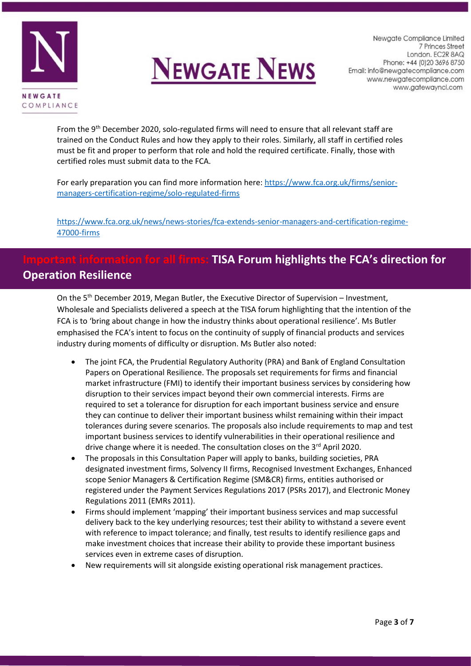



Newgate Compliance Limited 7 Princes Street London. EC2R 8AQ Phone: +44 (0) 20 3696 8750 Email: info@newgatecompliance.com www.newgatecompliance.com www.gatewayncl.com

From the 9<sup>th</sup> December 2020, solo-regulated firms will need to ensure that all relevant staff are trained on the Conduct Rules and how they apply to their roles. Similarly, all staff in certified roles must be fit and proper to perform that role and hold the required certificate. Finally, those with certified roles must submit data to the FCA.

For early preparation you can find more information here[: https://www.fca.org.uk/firms/senior](https://www.fca.org.uk/firms/senior-managers-certification-regime/solo-regulated-firms)[managers-certification-regime/solo-regulated-firms](https://www.fca.org.uk/firms/senior-managers-certification-regime/solo-regulated-firms)

[https://www.fca.org.uk/news/news-stories/fca-extends-senior-managers-and-certification-regime-](https://www.fca.org.uk/news/news-stories/fca-extends-senior-managers-and-certification-regime-47000-firms)[47000-firms](https://www.fca.org.uk/news/news-stories/fca-extends-senior-managers-and-certification-regime-47000-firms)

## **Information for all firms: TISA Forum highlights the FCA's direction for Operation Resilience**

On the 5<sup>th</sup> December 2019, Megan Butler, the Executive Director of Supervision – Investment, Wholesale and Specialists delivered a speech at the TISA forum highlighting that the intention of the FCA is to 'bring about change in how the industry thinks about operational resilience'. Ms Butler emphasised the FCA's intent to focus on the continuity of supply of financial products and services industry during moments of difficulty or disruption. Ms Butler also noted:

- The joint FCA, the Prudential Regulatory Authority (PRA) and Bank of England Consultation Papers on Operational Resilience. The proposals set requirements for firms and financial market infrastructure (FMI) to identify their important business services by considering how disruption to their services impact beyond their own commercial interests. Firms are required to set a tolerance for disruption for each important business service and ensure they can continue to deliver their important business whilst remaining within their impact tolerances during severe scenarios. The proposals also include requirements to map and test important business services to identify vulnerabilities in their operational resilience and drive change where it is needed. The consultation closes on the 3<sup>rd</sup> April 2020.
- The proposals in this Consultation Paper will apply to banks, building societies, PRA designated investment firms, Solvency II firms, Recognised Investment Exchanges, Enhanced scope Senior Managers & Certification Regime (SM&CR) firms, entities authorised or registered under the Payment Services Regulations 2017 (PSRs 2017), and Electronic Money Regulations 2011 (EMRs 2011).
- Firms should implement 'mapping' their important business services and map successful delivery back to the key underlying resources; test their ability to withstand a severe event with reference to impact tolerance; and finally, test results to identify resilience gaps and make investment choices that increase their ability to provide these important business services even in extreme cases of disruption.
- New requirements will sit alongside existing operational risk management practices.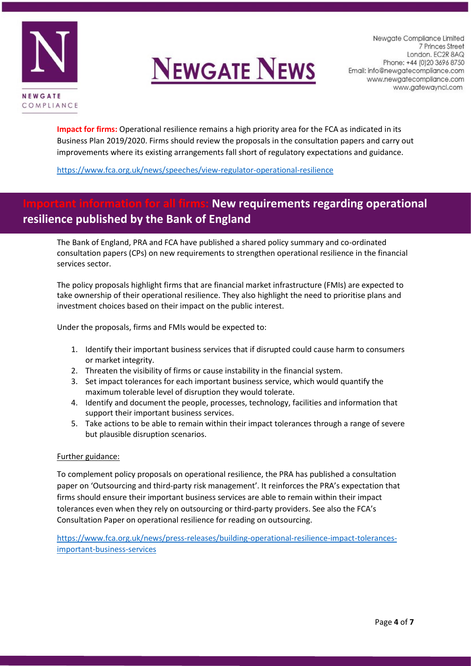



Newgate Compliance Limited 7 Princes Street London. EC2R 8AQ Phone: +44 (0) 20 3696 8750 Email: info@newgatecompliance.com www.newgatecompliance.com www.gatewayncl.com

**Impact for firms:** Operational resilience remains a high priority area for the FCA as indicated in its Business Plan 2019/2020. Firms should review the proposals in the consultation papers and carry out improvements where its existing arrangements fall short of regulatory expectations and guidance.

<https://www.fca.org.uk/news/speeches/view-regulator-operational-resilience>

## **New requirements regarding operational resilience published by the Bank of England**

The Bank of England, PRA and FCA have published a shared policy summary and co-ordinated consultation papers (CPs) on new requirements to strengthen operational resilience in the financial services sector.

The policy proposals highlight firms that are financial market infrastructure (FMIs) are expected to take ownership of their operational resilience. They also highlight the need to prioritise plans and investment choices based on their impact on the public interest.

Under the proposals, firms and FMIs would be expected to:

- 1. Identify their important business services that if disrupted could cause harm to consumers or market integrity.
- 2. Threaten the visibility of firms or cause instability in the financial system.
- 3. Set impact tolerances for each important business service, which would quantify the maximum tolerable level of disruption they would tolerate.
- 4. Identify and document the people, processes, technology, facilities and information that support their important business services.
- 5. Take actions to be able to remain within their impact tolerances through a range of severe but plausible disruption scenarios.

#### Further guidance:

To complement policy proposals on operational resilience, the PRA has published a consultation paper on 'Outsourcing and third-party risk management'. It reinforces the PRA's expectation that firms should ensure their important business services are able to remain within their impact tolerances even when they rely on outsourcing or third-party providers. See also the FCA's Consultation Paper on operational resilience for reading on outsourcing.

[https://www.fca.org.uk/news/press-releases/building-operational-resilience-impact-tolerances](https://www.fca.org.uk/news/press-releases/building-operational-resilience-impact-tolerances-important-business-services)[important-business-services](https://www.fca.org.uk/news/press-releases/building-operational-resilience-impact-tolerances-important-business-services)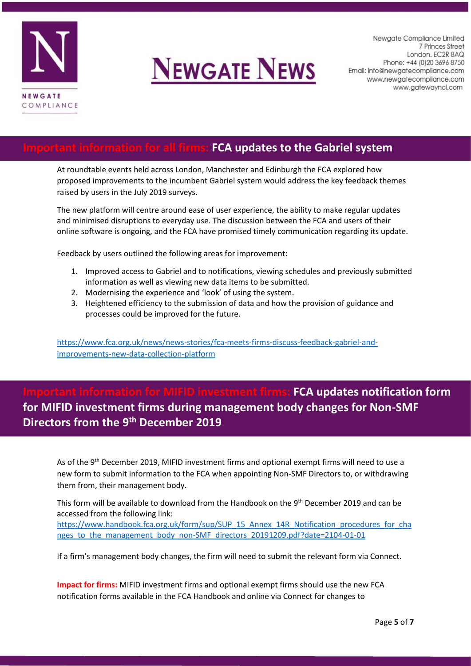

## **NEWGATE NEWS**

Newgate Compliance Limited 7 Princes Street London. EC2R 8AQ Phone: +44 (0) 20 3696 8750 Email: info@newgatecompliance.com www.newgatecompliance.com www.gatewayncl.com

### **Important information for all firms: FCA updates to the Gabriel system**

At roundtable events held across London, Manchester and Edinburgh the FCA explored how proposed improvements to the incumbent Gabriel system would address the key feedback themes raised by users in the July 2019 surveys.

The new platform will centre around ease of user experience, the ability to make regular updates and minimised disruptions to everyday use. The discussion between the FCA and users of their online software is ongoing, and the FCA have promised timely communication regarding its update.

Feedback by users outlined the following areas for improvement:

- 1. Improved access to Gabriel and to notifications, viewing schedules and previously submitted information as well as viewing new data items to be submitted.
- 2. Modernising the experience and 'look' of using the system.
- 3. Heightened efficiency to the submission of data and how the provision of guidance and processes could be improved for the future.

[https://www.fca.org.uk/news/news-stories/fca-meets-firms-discuss-feedback-gabriel-and](https://www.fca.org.uk/news/news-stories/fca-meets-firms-discuss-feedback-gabriel-and-improvements-new-data-collection-platform)[improvements-new-data-collection-platform](https://www.fca.org.uk/news/news-stories/fca-meets-firms-discuss-feedback-gabriel-and-improvements-new-data-collection-platform)

**Important information for MIFID investment firms: FCA updates notification form for MIFID investment firms during management body changes for Non-SMF Directors from the 9th December 2019**

As of the 9<sup>th</sup> December 2019, MIFID investment firms and optional exempt firms will need to use a new form to submit information to the FCA when appointing Non-SMF Directors to, or withdrawing them from, their management body.

This form will be available to download from the Handbook on the 9<sup>th</sup> December 2019 and can be accessed from the following link: [https://www.handbook.fca.org.uk/form/sup/SUP\\_15\\_Annex\\_14R\\_Notification\\_procedures\\_for\\_cha](https://www.handbook.fca.org.uk/form/sup/SUP_15_Annex_14R_Notification_procedures_for_changes_to_the_management_body_non-SMF_directors_20191209.pdf?date=2104-01-01) nges to the management body non-SMF directors 20191209.pdf?date=2104-01-01

If a firm's management body changes, the firm will need to submit the relevant form via Connect.

**Impact for firms:** MIFID investment firms and optional exempt firms should use the new FCA notification forms available in the FCA Handbook and online via Connect for changes to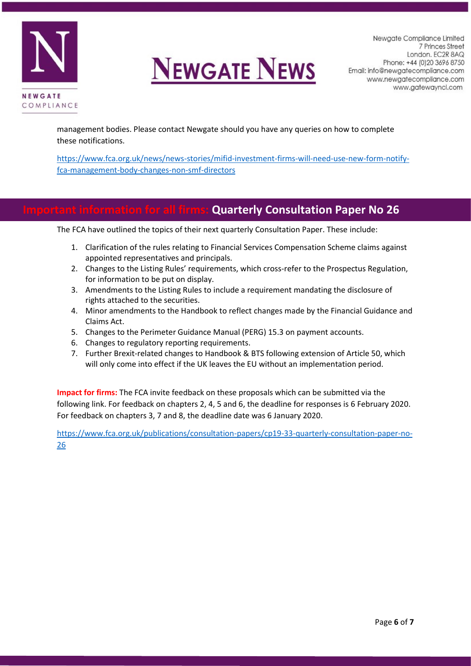



management bodies. Please contact Newgate should you have any queries on how to complete these notifications.

[https://www.fca.org.uk/news/news-stories/mifid-investment-firms-will-need-use-new-form-notify](https://www.fca.org.uk/news/news-stories/mifid-investment-firms-will-need-use-new-form-notify-fca-management-body-changes-non-smf-directors)[fca-management-body-changes-non-smf-directors](https://www.fca.org.uk/news/news-stories/mifid-investment-firms-will-need-use-new-form-notify-fca-management-body-changes-non-smf-directors)

### **Quarterly Consultation Paper No 26**

The FCA have outlined the topics of their next quarterly Consultation Paper. These include:

- 1. Clarification of the rules relating to Financial Services Compensation Scheme claims against appointed representatives and principals.
- 2. Changes to the Listing Rules' requirements, which cross-refer to the Prospectus Regulation, for information to be put on display.
- 3. Amendments to the Listing Rules to include a requirement mandating the disclosure of rights attached to the securities.
- 4. Minor amendments to the Handbook to reflect changes made by the Financial Guidance and Claims Act.
- 5. Changes to the Perimeter Guidance Manual (PERG) 15.3 on payment accounts.
- 6. Changes to regulatory reporting requirements.
- 7. Further Brexit-related changes to Handbook & BTS following extension of Article 50, which will only come into effect if the UK leaves the EU without an implementation period.

**Impact for firms:** The FCA invite feedback on these proposals which can be submitted via the following link. For feedback on chapters 2, 4, 5 and 6, the deadline for responses is 6 February 2020. For feedback on chapters 3, 7 and 8, the deadline date was 6 January 2020.

[https://www.fca.org.uk/publications/consultation-papers/cp19-33-quarterly-consultation-paper-no-](https://www.fca.org.uk/publications/consultation-papers/cp19-33-quarterly-consultation-paper-no-26)[26](https://www.fca.org.uk/publications/consultation-papers/cp19-33-quarterly-consultation-paper-no-26)